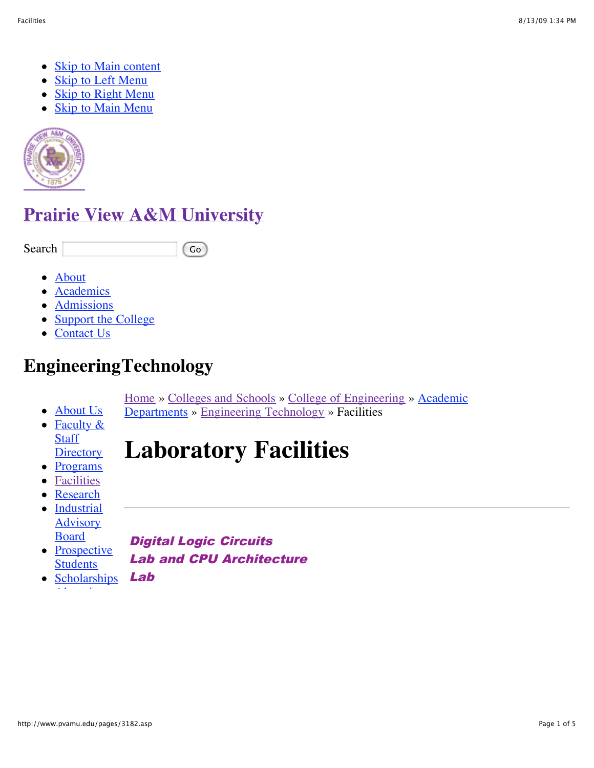- [Skip to Main content](http://www.pvamu.edu/pages/3182.asp#main-content)
- [Skip to Left Menu](http://www.pvamu.edu/pages/3182.asp#left-menu)
- [Skip to Right Menu](http://www.pvamu.edu/pages/3182.asp#right-menu)
- [Skip to Main Menu](http://www.pvamu.edu/pages/3182.asp#main-menu)



## **[Prairie View A&M University](http://www.pvamu.edu/)**

Search Go

- [About](http://www.pvamu.edu/pages/179.asp)
- **•** [Academics](http://www.pvamu.edu/pages/181.asp)
- [Admissions](http://www.pvamu.edu/pages/2564.asp)
- [Support the College](http://pvamu.edu/pages/190.asp)
- [Contact Us](http://www.pvamu.edu/pages/578.asp)

# **EngineeringTechnology**

[Home](http://www.pvamu.edu/pages/1.asp) [»](http://www.pvamu.edu/pages/181.asp) [Colleges and School](http://www.pvamu.edu/pages/128.asp)[s »](http://www.pvamu.edu/pages/181.asp) [College of Engineering](http://www.pvamu.edu/pages/178.asp) [» Academic](http://www.pvamu.edu/pages/181.asp) Departments » [Engineering Technology](http://www.pvamu.edu/pages/188.asp) » Facilities

#### • [Faculty &](http://www.pvamu.edu/pages/3519.asp) **Staff Directory Laboratory Facilities**

• [Programs](http://www.pvamu.edu/pages/3174.asp)

• [About Us](http://www.pvamu.edu/pages/3173.asp)

- **•** [Facilities](http://www.pvamu.edu/pages/3182.asp)
- [Research](http://www.pvamu.edu/pages/3193.asp)
- [Industrial](http://www.pvamu.edu/pages/3191.asp) **Advisory** Board

• [Prospective](http://www.pvamu.edu/pages/3192.asp) **Students** 

• [Scholarships](http://www.pvamu.edu/pages/3194.asp) [Alumni](http://www.pvamu.edu/pages/3178.asp) Lab

Digital Logic Circuits Lab and CPU Architecture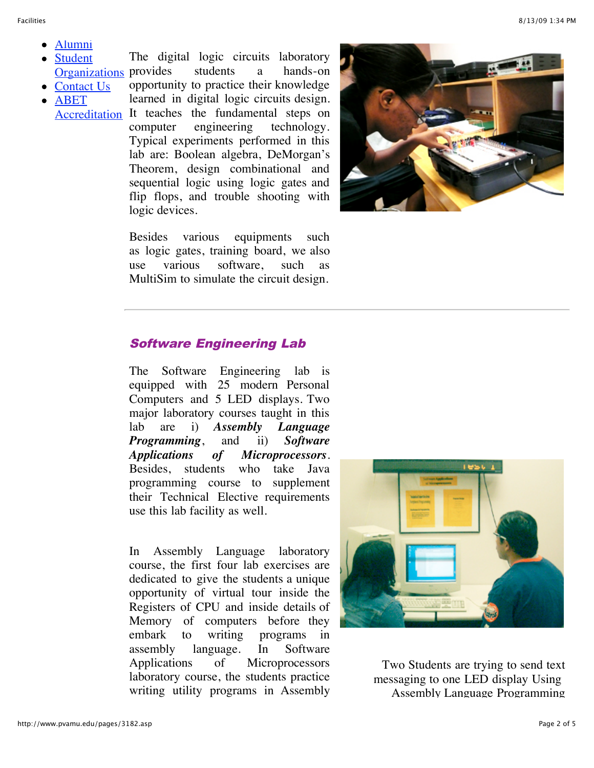- [Alumni](http://www.pvamu.edu/pages/3178.asp)
- Student [Organizations](http://www.pvamu.edu/pages/3195.asp) provides students a hands-on The digital logic circuits laboratory

logic devices.

• [Contact Us](http://www.pvamu.edu/pages/3179.asp) ABET [Accreditation](http://www.pvamu.edu/pages/5732.asp) It teaches the fundamental steps on opportunity to practice their knowledge learned in digital logic circuits design. computer engineering technology. Typical experiments performed in this lab are: Boolean algebra, DeMorgan's Theorem, design combinational and sequential logic using logic gates and flip flops, and trouble shooting with

> Besides various equipments such as logic gates, training board, we also use various software, such as MultiSim to simulate the circuit design.



#### Software Engineering Lab

The Software Engineering lab is equipped with 25 modern Personal Computers and 5 LED displays. Two major laboratory courses taught in this lab are i) *Assembly Language Programming*, and ii) *Software Applications of Microprocessors*. Besides, students who take Java programming course to supplement their Technical Elective requirements use this lab facility as well.

In Assembly Language laboratory course, the first four lab exercises are dedicated to give the students a unique opportunity of virtual tour inside the Registers of CPU and inside details of Memory of computers before they embark to writing programs in assembly language. In Software Applications of Microprocessors laboratory course, the students practice writing utility programs in Assembly



Two Students are trying to send text messaging to one LED display Using Assembly Language Programming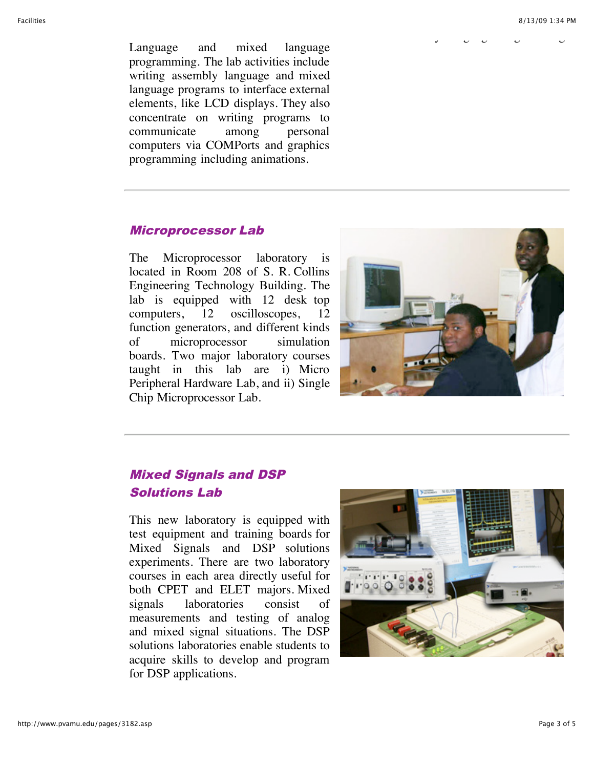Assembly Language Programming

Language and mixed language programming. The lab activities include writing assembly language and mixed language programs to interface external elements, like LCD displays. They also concentrate on writing programs to communicate among personal computers via COMPorts and graphics programming including animations.

#### Microprocessor Lab

The Microprocessor laboratory is located in Room 208 of S. R. Collins Engineering Technology Building. The lab is equipped with 12 desk top computers, 12 oscilloscopes, 12 function generators, and different kinds of microprocessor simulation boards. Two major laboratory courses taught in this lab are i) Micro Peripheral Hardware Lab, and ii) Single Chip Microprocessor Lab.



## Mixed Signals and DSP Solutions Lab

This new laboratory is equipped with test equipment and training boards for Mixed Signals and DSP solutions experiments. There are two laboratory courses in each area directly useful for both CPET and ELET majors. Mixed signals laboratories consist of measurements and testing of analog and mixed signal situations. The DSP solutions laboratories enable students to acquire skills to develop and program for DSP applications.

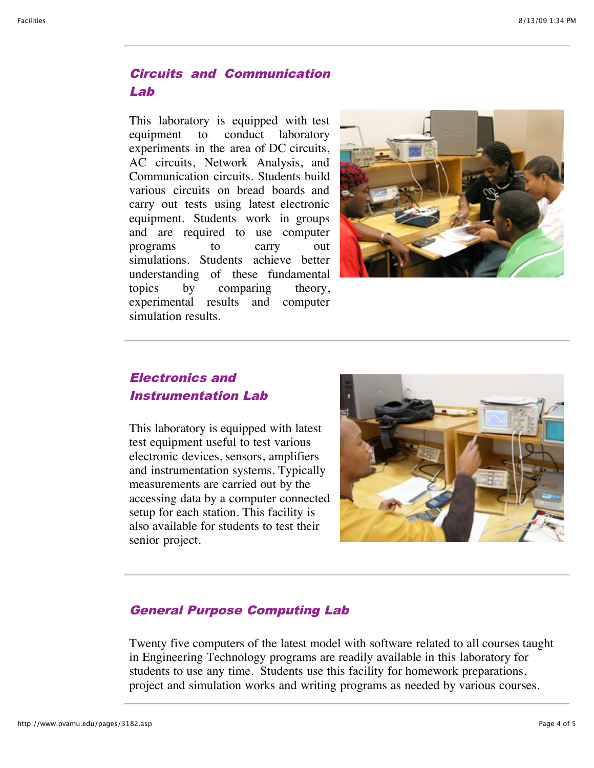## Circuits and Communication Lab

This laboratory is equipped with test equipment to conduct laboratory experiments in the area of DC circuits, AC circuits, Network Analysis, and Communication circuits. Students build various circuits on bread boards and carry out tests using latest electronic equipment. Students work in groups and are required to use computer programs to carry out simulations. Students achieve better understanding of these fundamental topics by comparing theory, experimental results and computer simulation results.



## Electronics and Instrumentation Lab

This laboratory is equipped with latest test equipment useful to test various electronic devices, sensors, amplifiers and instrumentation systems. Typically measurements are carried out by the accessing data by a computer connected setup for each station. This facility is also available for students to test their senior project.



### General Purpose Computing Lab

Twenty five computers of the latest model with software related to all courses taught in Engineering Technology programs are readily available in this laboratory for students to use any time. Students use this facility for homework preparations, project and simulation works and writing programs as needed by various courses.